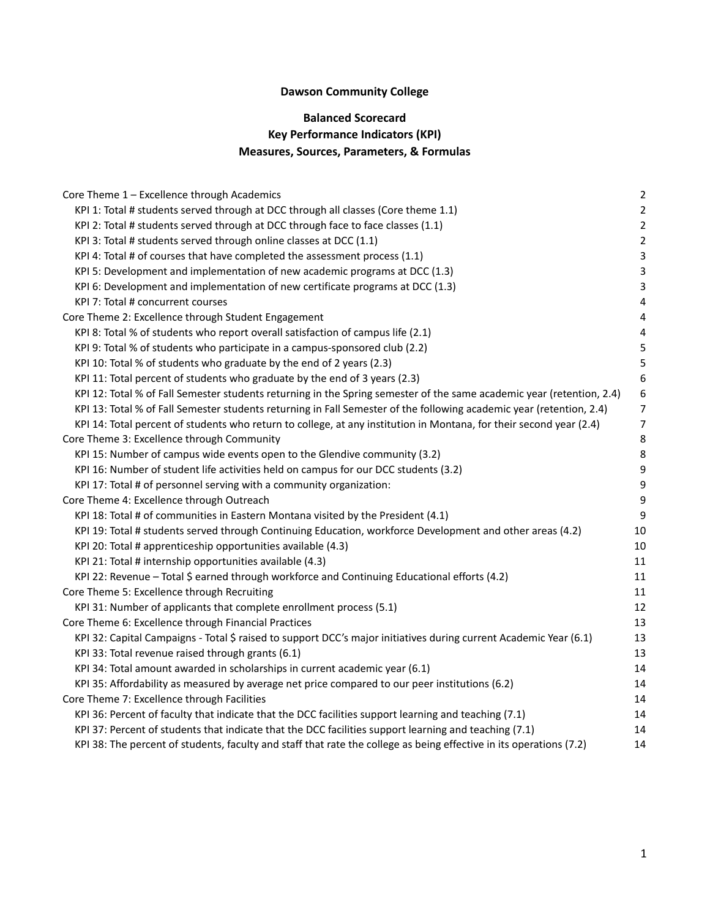# **Dawson Community College**

# **Balanced Scorecard Key Performance Indicators (KPI) Measures, Sources, Parameters, & Formulas**

| Core Theme 1 - Excellence through Academics                                                                           | $\overline{2}$          |
|-----------------------------------------------------------------------------------------------------------------------|-------------------------|
| KPI 1: Total # students served through at DCC through all classes (Core theme 1.1)                                    | $\overline{2}$          |
| KPI 2: Total # students served through at DCC through face to face classes (1.1)                                      | $\overline{2}$          |
| KPI 3: Total # students served through online classes at DCC (1.1)                                                    | $\overline{2}$          |
| KPI 4: Total # of courses that have completed the assessment process (1.1)                                            | 3                       |
| KPI 5: Development and implementation of new academic programs at DCC (1.3)                                           | $\overline{3}$          |
| KPI 6: Development and implementation of new certificate programs at DCC (1.3)                                        | $\mathsf 3$             |
| KPI 7: Total # concurrent courses                                                                                     | $\overline{\mathbf{4}}$ |
| Core Theme 2: Excellence through Student Engagement                                                                   | $\overline{\mathbf{4}}$ |
| KPI 8: Total % of students who report overall satisfaction of campus life (2.1)                                       | 4                       |
| KPI 9: Total % of students who participate in a campus-sponsored club (2.2)                                           | 5                       |
| KPI 10: Total % of students who graduate by the end of 2 years (2.3)                                                  | 5                       |
| KPI 11: Total percent of students who graduate by the end of 3 years (2.3)                                            | $6\phantom{1}6$         |
| KPI 12: Total % of Fall Semester students returning in the Spring semester of the same academic year (retention, 2.4) | $\boldsymbol{6}$        |
| KPI 13: Total % of Fall Semester students returning in Fall Semester of the following academic year (retention, 2.4)  | $\overline{7}$          |
| KPI 14: Total percent of students who return to college, at any institution in Montana, for their second year (2.4)   | $\overline{7}$          |
| Core Theme 3: Excellence through Community                                                                            | 8                       |
| KPI 15: Number of campus wide events open to the Glendive community (3.2)                                             | 8                       |
| KPI 16: Number of student life activities held on campus for our DCC students (3.2)                                   | 9                       |
| KPI 17: Total # of personnel serving with a community organization:                                                   | 9                       |
| Core Theme 4: Excellence through Outreach                                                                             | 9                       |
| KPI 18: Total # of communities in Eastern Montana visited by the President (4.1)                                      | 9                       |
| KPI 19: Total # students served through Continuing Education, workforce Development and other areas (4.2)             | 10                      |
| KPI 20: Total # apprenticeship opportunities available (4.3)                                                          | 10                      |
| KPI 21: Total # internship opportunities available (4.3)                                                              | 11                      |
| KPI 22: Revenue - Total \$ earned through workforce and Continuing Educational efforts (4.2)                          | $11\,$                  |
| Core Theme 5: Excellence through Recruiting                                                                           | 11                      |
| KPI 31: Number of applicants that complete enrollment process (5.1)                                                   | 12                      |
| Core Theme 6: Excellence through Financial Practices                                                                  | 13                      |
| KPI 32: Capital Campaigns - Total \$ raised to support DCC's major initiatives during current Academic Year (6.1)     | 13                      |
| KPI 33: Total revenue raised through grants (6.1)                                                                     | 13                      |
| KPI 34: Total amount awarded in scholarships in current academic year (6.1)                                           | 14                      |
| KPI 35: Affordability as measured by average net price compared to our peer institutions (6.2)                        | 14                      |
| Core Theme 7: Excellence through Facilities                                                                           | 14                      |
| KPI 36: Percent of faculty that indicate that the DCC facilities support learning and teaching (7.1)                  | 14                      |
| KPI 37: Percent of students that indicate that the DCC facilities support learning and teaching (7.1)                 | 14                      |
| KPI 38: The percent of students, faculty and staff that rate the college as being effective in its operations (7.2)   | 14                      |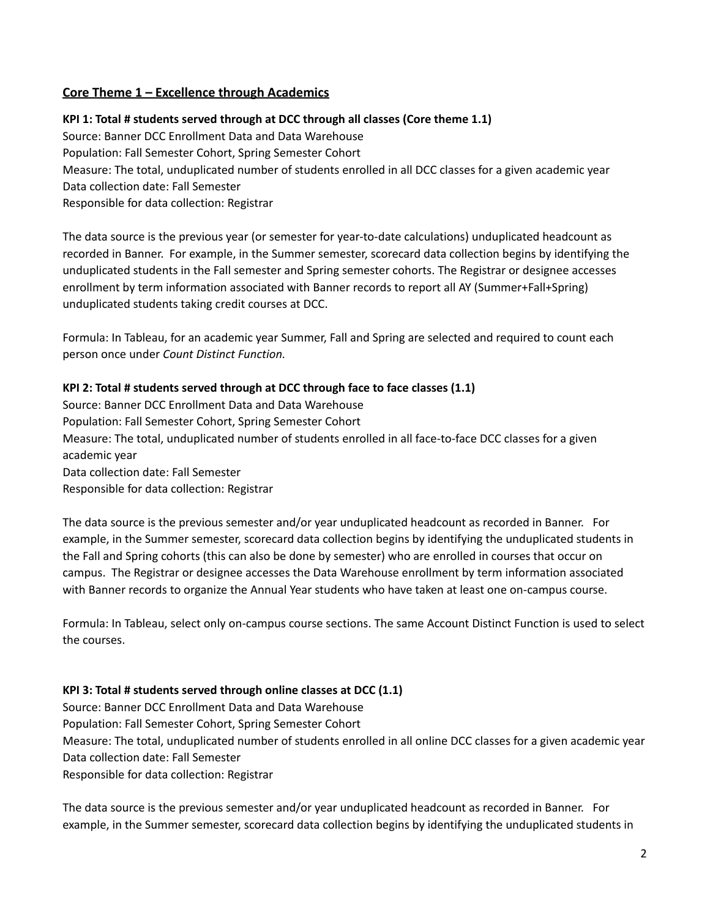# <span id="page-1-0"></span>**Core Theme 1 – Excellence through Academics**

<span id="page-1-1"></span>**KPI 1: Total # students served through at DCC through all classes (Core theme 1.1)** Source: Banner DCC Enrollment Data and Data Warehouse Population: Fall Semester Cohort, Spring Semester Cohort Measure: The total, unduplicated number of students enrolled in all DCC classes for a given academic year Data collection date: Fall Semester Responsible for data collection: Registrar

The data source is the previous year (or semester for year-to-date calculations) unduplicated headcount as recorded in Banner. For example, in the Summer semester, scorecard data collection begins by identifying the unduplicated students in the Fall semester and Spring semester cohorts. The Registrar or designee accesses enrollment by term information associated with Banner records to report all AY (Summer+Fall+Spring) unduplicated students taking credit courses at DCC.

Formula: In Tableau, for an academic year Summer, Fall and Spring are selected and required to count each person once under *Count Distinct Function.*

### <span id="page-1-2"></span>**KPI 2: Total # students served through at DCC through face to face classes (1.1)**

Source: Banner DCC Enrollment Data and Data Warehouse Population: Fall Semester Cohort, Spring Semester Cohort Measure: The total, unduplicated number of students enrolled in all face-to-face DCC classes for a given academic year Data collection date: Fall Semester Responsible for data collection: Registrar

The data source is the previous semester and/or year unduplicated headcount as recorded in Banner. For example, in the Summer semester, scorecard data collection begins by identifying the unduplicated students in the Fall and Spring cohorts (this can also be done by semester) who are enrolled in courses that occur on campus. The Registrar or designee accesses the Data Warehouse enrollment by term information associated with Banner records to organize the Annual Year students who have taken at least one on-campus course.

Formula: In Tableau, select only on-campus course sections. The same Account Distinct Function is used to select the courses.

#### <span id="page-1-3"></span>**KPI 3: Total # students served through online classes at DCC (1.1)**

Source: Banner DCC Enrollment Data and Data Warehouse Population: Fall Semester Cohort, Spring Semester Cohort Measure: The total, unduplicated number of students enrolled in all online DCC classes for a given academic year Data collection date: Fall Semester Responsible for data collection: Registrar

The data source is the previous semester and/or year unduplicated headcount as recorded in Banner. For example, in the Summer semester, scorecard data collection begins by identifying the unduplicated students in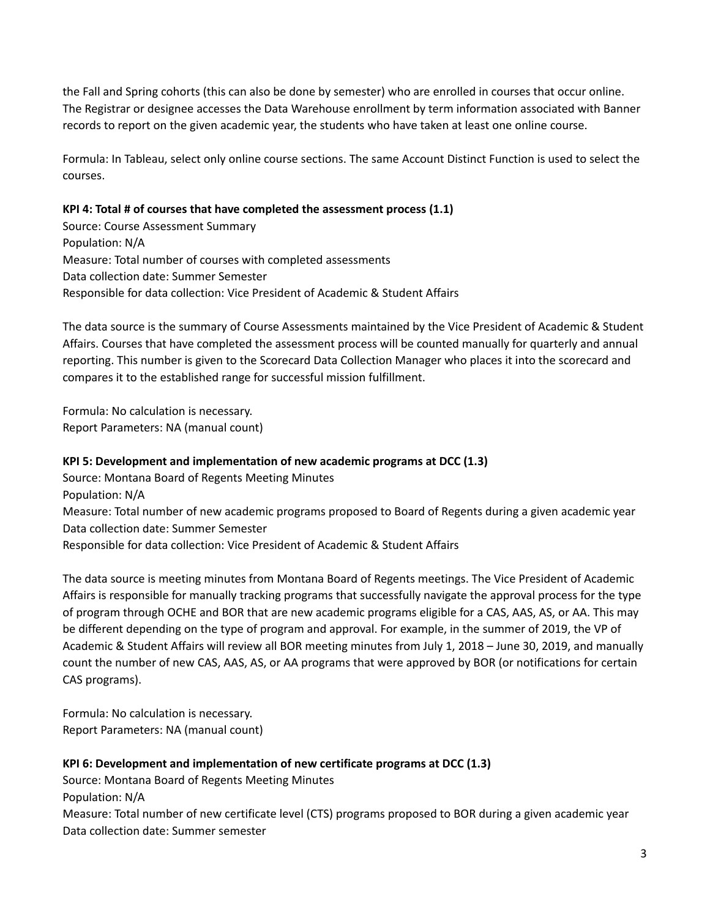the Fall and Spring cohorts (this can also be done by semester) who are enrolled in courses that occur online. The Registrar or designee accesses the Data Warehouse enrollment by term information associated with Banner records to report on the given academic year, the students who have taken at least one online course.

Formula: In Tableau, select only online course sections. The same Account Distinct Function is used to select the courses.

### <span id="page-2-0"></span>**KPI 4: Total # of courses that have completed the assessment process (1.1)**

Source: Course Assessment Summary Population: N/A Measure: Total number of courses with completed assessments Data collection date: Summer Semester Responsible for data collection: Vice President of Academic & Student Affairs

The data source is the summary of Course Assessments maintained by the Vice President of Academic & Student Affairs. Courses that have completed the assessment process will be counted manually for quarterly and annual reporting. This number is given to the Scorecard Data Collection Manager who places it into the scorecard and compares it to the established range for successful mission fulfillment.

Formula: No calculation is necessary. Report Parameters: NA (manual count)

# <span id="page-2-1"></span>**KPI 5: Development and implementation of new academic programs at DCC (1.3)**

Source: Montana Board of Regents Meeting Minutes Population: N/A Measure: Total number of new academic programs proposed to Board of Regents during a given academic year Data collection date: Summer Semester Responsible for data collection: Vice President of Academic & Student Affairs

The data source is meeting minutes from Montana Board of Regents meetings. The Vice President of Academic Affairs is responsible for manually tracking programs that successfully navigate the approval process for the type of program through OCHE and BOR that are new academic programs eligible for a CAS, AAS, AS, or AA. This may be different depending on the type of program and approval. For example, in the summer of 2019, the VP of Academic & Student Affairs will review all BOR meeting minutes from July 1, 2018 – June 30, 2019, and manually count the number of new CAS, AAS, AS, or AA programs that were approved by BOR (or notifications for certain CAS programs).

Formula: No calculation is necessary. Report Parameters: NA (manual count)

# <span id="page-2-2"></span>**KPI 6: Development and implementation of new certificate programs at DCC (1.3)**

Source: Montana Board of Regents Meeting Minutes Population: N/A Measure: Total number of new certificate level (CTS) programs proposed to BOR during a given academic year Data collection date: Summer semester

3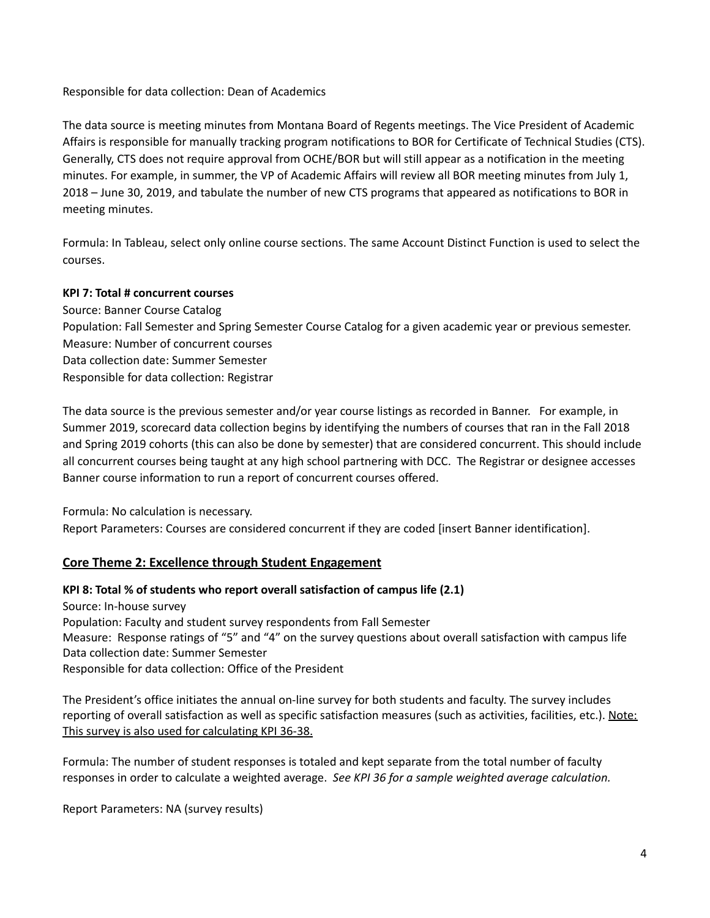Responsible for data collection: Dean of Academics

The data source is meeting minutes from Montana Board of Regents meetings. The Vice President of Academic Affairs is responsible for manually tracking program notifications to BOR for Certificate of Technical Studies (CTS). Generally, CTS does not require approval from OCHE/BOR but will still appear as a notification in the meeting minutes. For example, in summer, the VP of Academic Affairs will review all BOR meeting minutes from July 1, 2018 – June 30, 2019, and tabulate the number of new CTS programs that appeared as notifications to BOR in meeting minutes.

Formula: In Tableau, select only online course sections. The same Account Distinct Function is used to select the courses.

# <span id="page-3-0"></span>**KPI 7: Total # concurrent courses**

Source: Banner Course Catalog Population: Fall Semester and Spring Semester Course Catalog for a given academic year or previous semester. Measure: Number of concurrent courses Data collection date: Summer Semester Responsible for data collection: Registrar

The data source is the previous semester and/or year course listings as recorded in Banner. For example, in Summer 2019, scorecard data collection begins by identifying the numbers of courses that ran in the Fall 2018 and Spring 2019 cohorts (this can also be done by semester) that are considered concurrent. This should include all concurrent courses being taught at any high school partnering with DCC. The Registrar or designee accesses Banner course information to run a report of concurrent courses offered.

Formula: No calculation is necessary.

Report Parameters: Courses are considered concurrent if they are coded [insert Banner identification].

# <span id="page-3-1"></span>**Core Theme 2: Excellence through Student Engagement**

# <span id="page-3-2"></span>**KPI 8: Total % of students who report overall satisfaction of campus life (2.1)**

Source: In-house survey Population: Faculty and student survey respondents from Fall Semester Measure: Response ratings of "5" and "4" on the survey questions about overall satisfaction with campus life Data collection date: Summer Semester Responsible for data collection: Office of the President

The President's office initiates the annual on-line survey for both students and faculty. The survey includes reporting of overall satisfaction as well as specific satisfaction measures (such as activities, facilities, etc.). Note: This survey is also used for calculating KPI 36-38.

Formula: The number of student responses is totaled and kept separate from the total number of faculty responses in order to calculate a weighted average. *See KPI 36 for a sample weighted average calculation.*

Report Parameters: NA (survey results)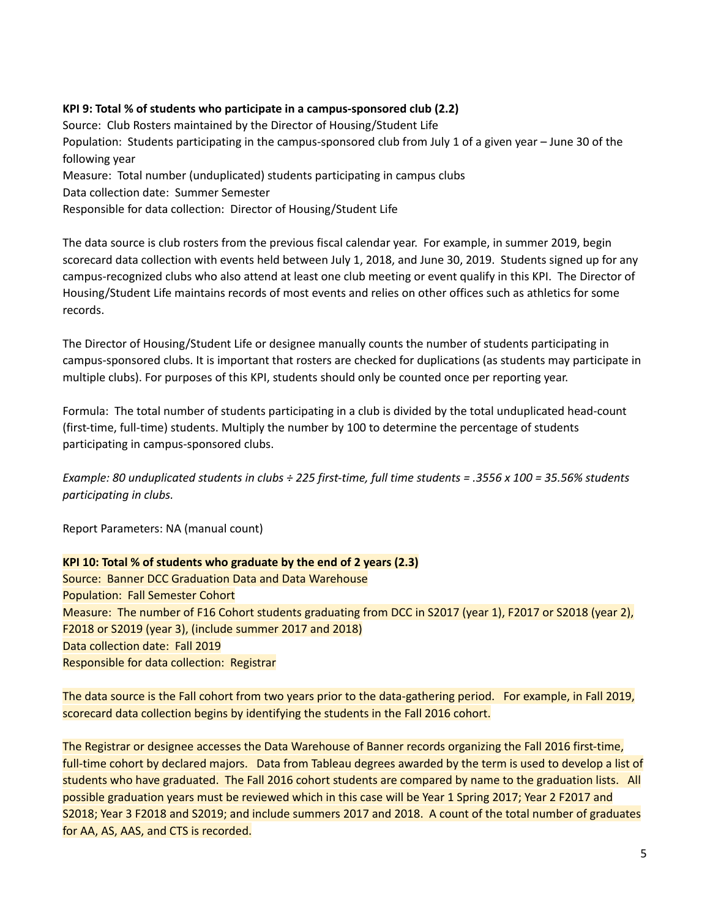### <span id="page-4-0"></span>**KPI 9: Total % of students who participate in a campus-sponsored club (2.2)**

Source: Club Rosters maintained by the Director of Housing/Student Life Population: Students participating in the campus-sponsored club from July 1 of a given year – June 30 of the following year Measure: Total number (unduplicated) students participating in campus clubs Data collection date: Summer Semester

Responsible for data collection: Director of Housing/Student Life

The data source is club rosters from the previous fiscal calendar year. For example, in summer 2019, begin scorecard data collection with events held between July 1, 2018, and June 30, 2019. Students signed up for any campus-recognized clubs who also attend at least one club meeting or event qualify in this KPI. The Director of Housing/Student Life maintains records of most events and relies on other offices such as athletics for some records.

The Director of Housing/Student Life or designee manually counts the number of students participating in campus-sponsored clubs. It is important that rosters are checked for duplications (as students may participate in multiple clubs). For purposes of this KPI, students should only be counted once per reporting year.

Formula: The total number of students participating in a club is divided by the total unduplicated head-count (first-time, full-time) students. Multiply the number by 100 to determine the percentage of students participating in campus-sponsored clubs.

Example: 80 unduplicated students in clubs ÷ 225 first-time, full time students = .3556 x 100 = 35.56% students *participating in clubs.*

Report Parameters: NA (manual count)

# <span id="page-4-1"></span>**KPI 10: Total % of students who graduate by the end of 2 years (2.3)**

Source: Banner DCC Graduation Data and Data Warehouse Population: Fall Semester Cohort Measure: The number of F16 Cohort students graduating from DCC in S2017 (year 1), F2017 or S2018 (year 2), F2018 or S2019 (year 3), (include summer 2017 and 2018) Data collection date: Fall 2019 Responsible for data collection: Registrar

The data source is the Fall cohort from two years prior to the data-gathering period. For example, in Fall 2019, scorecard data collection begins by identifying the students in the Fall 2016 cohort.

The Registrar or designee accesses the Data Warehouse of Banner records organizing the Fall 2016 first-time, full-time cohort by declared majors. Data from Tableau degrees awarded by the term is used to develop a list of students who have graduated. The Fall 2016 cohort students are compared by name to the graduation lists. All possible graduation years must be reviewed which in this case will be Year 1 Spring 2017; Year 2 F2017 and S2018; Year 3 F2018 and S2019; and include summers 2017 and 2018. A count of the total number of graduates for AA, AS, AAS, and CTS is recorded.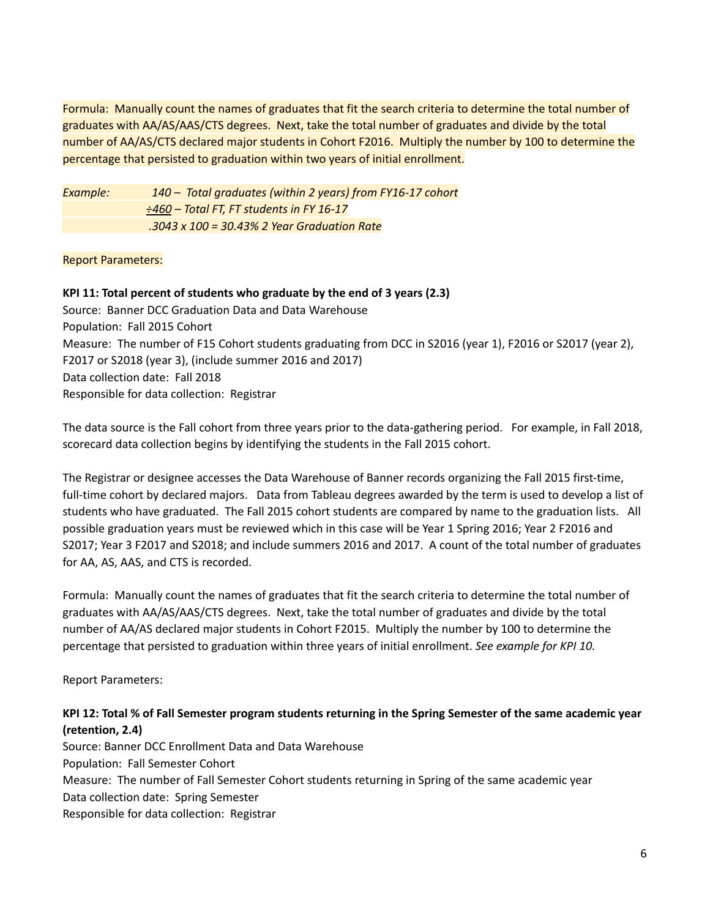Formula: Manually count the names of graduates that fit the search criteria to determine the total number of graduates with AA/AS/AAS/CTS degrees. Next, take the total number of graduates and divide by the total number of AA/AS/CTS declared major students in Cohort F2016. Multiply the number by 100 to determine the percentage that persisted to graduation within two years of initial enrollment.

*Example: 140 – Total graduates (within 2 years) from FY16-17 cohort ÷460 – Total FT, FT students in FY 16-17 .3043 x 100 = 30.43% 2 Year Graduation Rate*

Report Parameters:

#### <span id="page-5-0"></span>**KPI 11: Total percent of students who graduate by the end of 3 years (2.3)**

Source: Banner DCC Graduation Data and Data Warehouse Population: Fall 2015 Cohort Measure: The number of F15 Cohort students graduating from DCC in S2016 (year 1), F2016 or S2017 (year 2), F2017 or S2018 (year 3), (include summer 2016 and 2017) Data collection date: Fall 2018 Responsible for data collection: Registrar

The data source is the Fall cohort from three years prior to the data-gathering period. For example, in Fall 2018, scorecard data collection begins by identifying the students in the Fall 2015 cohort.

The Registrar or designee accesses the Data Warehouse of Banner records organizing the Fall 2015 first-time, full-time cohort by declared majors. Data from Tableau degrees awarded by the term is used to develop a list of students who have graduated. The Fall 2015 cohort students are compared by name to the graduation lists. All possible graduation years must be reviewed which in this case will be Year 1 Spring 2016; Year 2 F2016 and S2017; Year 3 F2017 and S2018; and include summers 2016 and 2017. A count of the total number of graduates for AA, AS, AAS, and CTS is recorded.

Formula: Manually count the names of graduates that fit the search criteria to determine the total number of graduates with AA/AS/AAS/CTS degrees. Next, take the total number of graduates and divide by the total number of AA/AS declared major students in Cohort F2015. Multiply the number by 100 to determine the percentage that persisted to graduation within three years of initial enrollment. *See example for KPI 10.*

Report Parameters:

# <span id="page-5-1"></span>KPI 12: Total % of Fall Semester program students returning in the Spring Semester of the same academic year **(retention, 2.4)**

Source: Banner DCC Enrollment Data and Data Warehouse Population: Fall Semester Cohort Measure: The number of Fall Semester Cohort students returning in Spring of the same academic year Data collection date: Spring Semester Responsible for data collection: Registrar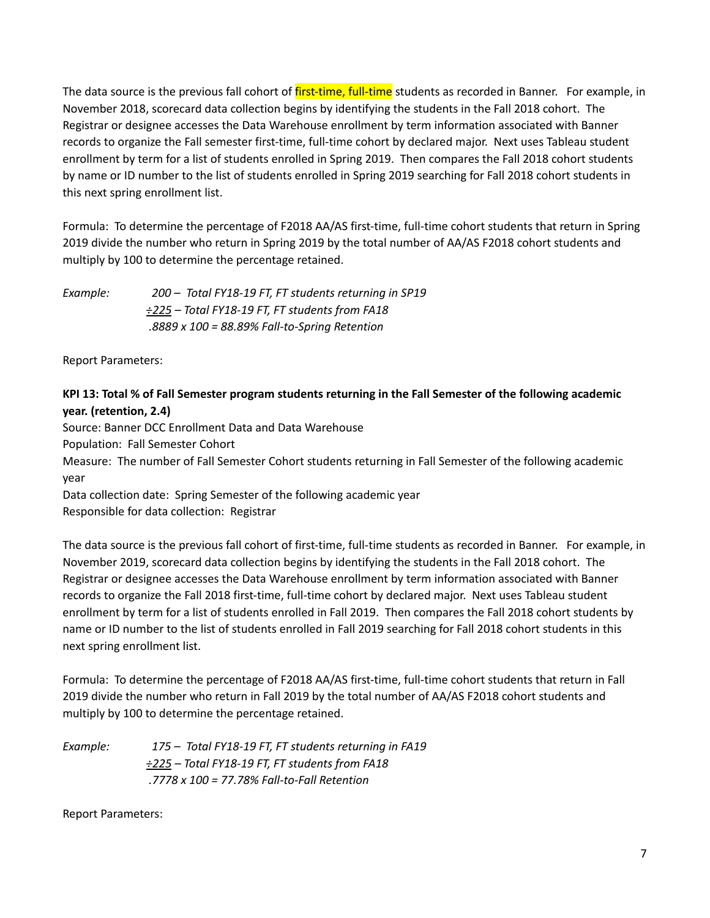The data source is the previous fall cohort of *first-time*, full-time students as recorded in Banner. For example, in November 2018, scorecard data collection begins by identifying the students in the Fall 2018 cohort. The Registrar or designee accesses the Data Warehouse enrollment by term information associated with Banner records to organize the Fall semester first-time, full-time cohort by declared major. Next uses Tableau student enrollment by term for a list of students enrolled in Spring 2019. Then compares the Fall 2018 cohort students by name or ID number to the list of students enrolled in Spring 2019 searching for Fall 2018 cohort students in this next spring enrollment list.

Formula: To determine the percentage of F2018 AA/AS first-time, full-time cohort students that return in Spring 2019 divide the number who return in Spring 2019 by the total number of AA/AS F2018 cohort students and multiply by 100 to determine the percentage retained.

*Example: 200 – Total FY18-19 FT, FT students returning in SP19 ÷225 – Total FY18-19 FT, FT students from FA18 .8889 x 100 = 88.89% Fall-to-Spring Retention*

Report Parameters:

# <span id="page-6-0"></span>KPI 13: Total % of Fall Semester program students returning in the Fall Semester of the following academic **year. (retention, 2.4)**

Source: Banner DCC Enrollment Data and Data Warehouse

Population: Fall Semester Cohort

Measure: The number of Fall Semester Cohort students returning in Fall Semester of the following academic year

Data collection date: Spring Semester of the following academic year Responsible for data collection: Registrar

The data source is the previous fall cohort of first-time, full-time students as recorded in Banner. For example, in November 2019, scorecard data collection begins by identifying the students in the Fall 2018 cohort. The Registrar or designee accesses the Data Warehouse enrollment by term information associated with Banner records to organize the Fall 2018 first-time, full-time cohort by declared major. Next uses Tableau student enrollment by term for a list of students enrolled in Fall 2019. Then compares the Fall 2018 cohort students by name or ID number to the list of students enrolled in Fall 2019 searching for Fall 2018 cohort students in this next spring enrollment list.

Formula: To determine the percentage of F2018 AA/AS first-time, full-time cohort students that return in Fall 2019 divide the number who return in Fall 2019 by the total number of AA/AS F2018 cohort students and multiply by 100 to determine the percentage retained.

| Example: | 175 - Total FY18-19 FT, FT students returning in FA19 |
|----------|-------------------------------------------------------|
|          | ÷225 - Total FY18-19 FT, FT students from FA18        |
|          | .7778 x 100 = 77.78% Fall-to-Fall Retention           |

Report Parameters: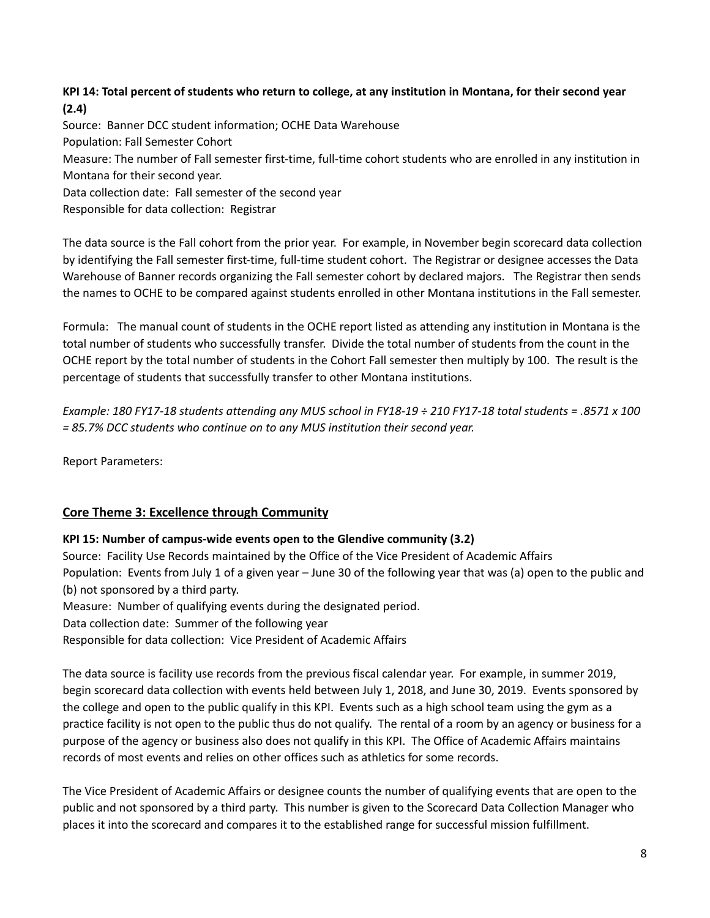# <span id="page-7-0"></span>KPI 14: Total percent of students who return to college, at any institution in Montana, for their second year **(2.4)**

Source: Banner DCC student information; OCHE Data Warehouse Population: Fall Semester Cohort Measure: The number of Fall semester first-time, full-time cohort students who are enrolled in any institution in Montana for their second year. Data collection date: Fall semester of the second year

Responsible for data collection: Registrar

The data source is the Fall cohort from the prior year. For example, in November begin scorecard data collection by identifying the Fall semester first-time, full-time student cohort. The Registrar or designee accesses the Data Warehouse of Banner records organizing the Fall semester cohort by declared majors. The Registrar then sends the names to OCHE to be compared against students enrolled in other Montana institutions in the Fall semester.

Formula: The manual count of students in the OCHE report listed as attending any institution in Montana is the total number of students who successfully transfer. Divide the total number of students from the count in the OCHE report by the total number of students in the Cohort Fall semester then multiply by 100. The result is the percentage of students that successfully transfer to other Montana institutions.

Example: 180 FY17-18 students attending any MUS school in FY18-19  $\div$  210 FY17-18 total students = .8571 x 100 *= 85.7% DCC students who continue on to any MUS institution their second year.*

Report Parameters:

# <span id="page-7-1"></span>**Core Theme 3: Excellence through Community**

# <span id="page-7-2"></span>**KPI 15: Number of campus-wide events open to the Glendive community (3.2)**

Source: Facility Use Records maintained by the Office of the Vice President of Academic Affairs Population: Events from July 1 of a given year – June 30 of the following year that was (a) open to the public and (b) not sponsored by a third party.

Measure: Number of qualifying events during the designated period.

Data collection date: Summer of the following year

Responsible for data collection: Vice President of Academic Affairs

The data source is facility use records from the previous fiscal calendar year. For example, in summer 2019, begin scorecard data collection with events held between July 1, 2018, and June 30, 2019. Events sponsored by the college and open to the public qualify in this KPI. Events such as a high school team using the gym as a practice facility is not open to the public thus do not qualify. The rental of a room by an agency or business for a purpose of the agency or business also does not qualify in this KPI. The Office of Academic Affairs maintains records of most events and relies on other offices such as athletics for some records.

The Vice President of Academic Affairs or designee counts the number of qualifying events that are open to the public and not sponsored by a third party. This number is given to the Scorecard Data Collection Manager who places it into the scorecard and compares it to the established range for successful mission fulfillment.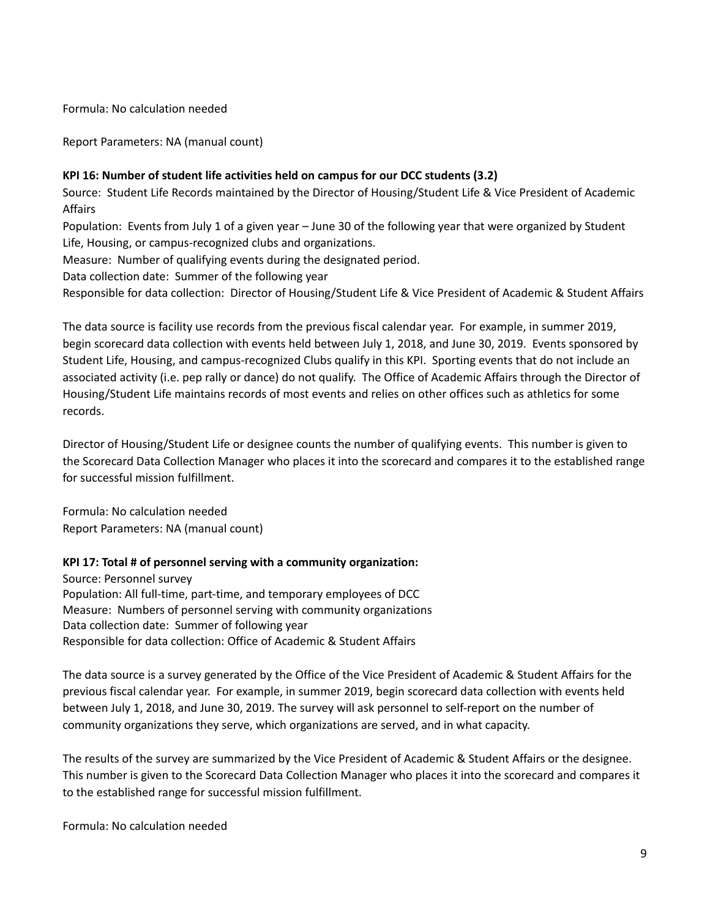Formula: No calculation needed

Report Parameters: NA (manual count)

#### <span id="page-8-0"></span>**KPI 16: Number of student life activities held on campus for our DCC students (3.2)**

Source: Student Life Records maintained by the Director of Housing/Student Life & Vice President of Academic Affairs

Population: Events from July 1 of a given year – June 30 of the following year that were organized by Student Life, Housing, or campus-recognized clubs and organizations.

Measure: Number of qualifying events during the designated period.

Data collection date: Summer of the following year

Responsible for data collection: Director of Housing/Student Life & Vice President of Academic & Student Affairs

The data source is facility use records from the previous fiscal calendar year. For example, in summer 2019, begin scorecard data collection with events held between July 1, 2018, and June 30, 2019. Events sponsored by Student Life, Housing, and campus-recognized Clubs qualify in this KPI. Sporting events that do not include an associated activity (i.e. pep rally or dance) do not qualify. The Office of Academic Affairs through the Director of Housing/Student Life maintains records of most events and relies on other offices such as athletics for some records.

Director of Housing/Student Life or designee counts the number of qualifying events. This number is given to the Scorecard Data Collection Manager who places it into the scorecard and compares it to the established range for successful mission fulfillment.

Formula: No calculation needed Report Parameters: NA (manual count)

#### <span id="page-8-1"></span>**KPI 17: Total # of personnel serving with a community organization:**

Source: Personnel survey Population: All full-time, part-time, and temporary employees of DCC Measure: Numbers of personnel serving with community organizations Data collection date: Summer of following year Responsible for data collection: Office of Academic & Student Affairs

The data source is a survey generated by the Office of the Vice President of Academic & Student Affairs for the previous fiscal calendar year. For example, in summer 2019, begin scorecard data collection with events held between July 1, 2018, and June 30, 2019. The survey will ask personnel to self-report on the number of community organizations they serve, which organizations are served, and in what capacity.

The results of the survey are summarized by the Vice President of Academic & Student Affairs or the designee. This number is given to the Scorecard Data Collection Manager who places it into the scorecard and compares it to the established range for successful mission fulfillment.

Formula: No calculation needed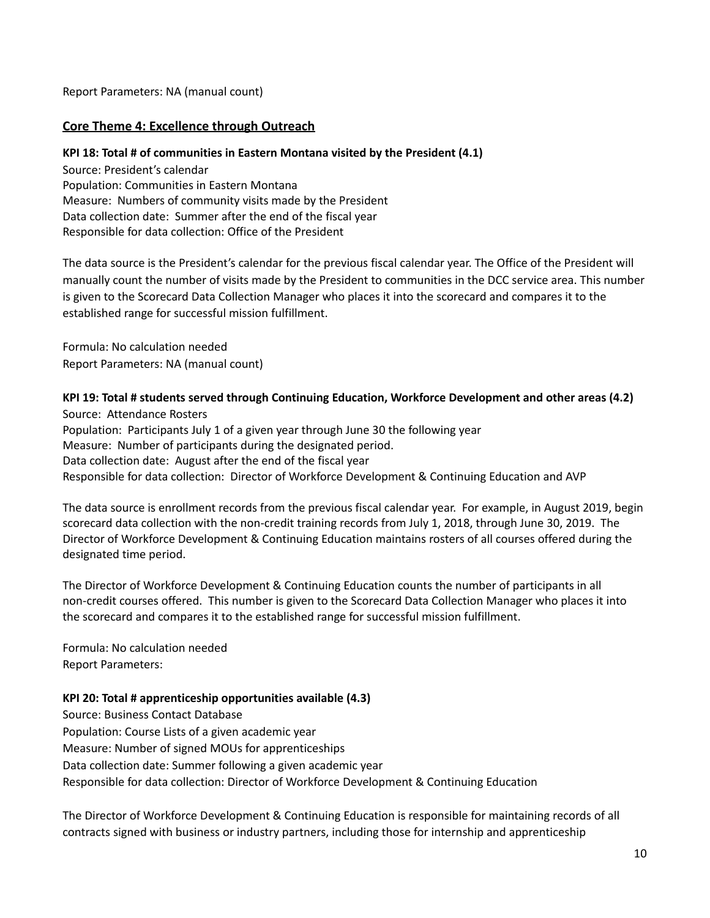Report Parameters: NA (manual count)

### <span id="page-9-0"></span>**Core Theme 4: Excellence through Outreach**

#### <span id="page-9-1"></span>**KPI 18: Total # of communities in Eastern Montana visited by the President (4.1)**

Source: President's calendar Population: Communities in Eastern Montana Measure: Numbers of community visits made by the President Data collection date: Summer after the end of the fiscal year Responsible for data collection: Office of the President

The data source is the President's calendar for the previous fiscal calendar year. The Office of the President will manually count the number of visits made by the President to communities in the DCC service area. This number is given to the Scorecard Data Collection Manager who places it into the scorecard and compares it to the established range for successful mission fulfillment.

Formula: No calculation needed Report Parameters: NA (manual count)

### <span id="page-9-2"></span>**KPI 19: Total # students served through Continuing Education, Workforce Development and other areas (4.2)**

Source: Attendance Rosters Population: Participants July 1 of a given year through June 30 the following year Measure: Number of participants during the designated period. Data collection date: August after the end of the fiscal year Responsible for data collection: Director of Workforce Development & Continuing Education and AVP

The data source is enrollment records from the previous fiscal calendar year. For example, in August 2019, begin scorecard data collection with the non-credit training records from July 1, 2018, through June 30, 2019. The Director of Workforce Development & Continuing Education maintains rosters of all courses offered during the designated time period.

The Director of Workforce Development & Continuing Education counts the number of participants in all non-credit courses offered. This number is given to the Scorecard Data Collection Manager who places it into the scorecard and compares it to the established range for successful mission fulfillment.

Formula: No calculation needed Report Parameters:

#### <span id="page-9-3"></span>**KPI 20: Total # apprenticeship opportunities available (4.3)**

Source: Business Contact Database Population: Course Lists of a given academic year Measure: Number of signed MOUs for apprenticeships Data collection date: Summer following a given academic year Responsible for data collection: Director of Workforce Development & Continuing Education

The Director of Workforce Development & Continuing Education is responsible for maintaining records of all contracts signed with business or industry partners, including those for internship and apprenticeship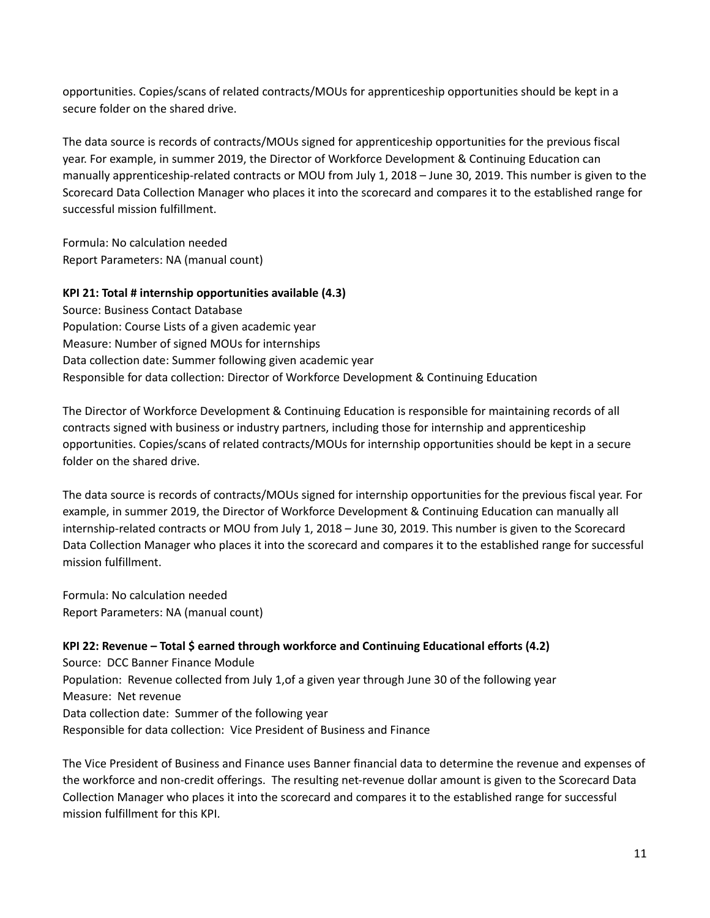opportunities. Copies/scans of related contracts/MOUs for apprenticeship opportunities should be kept in a secure folder on the shared drive.

The data source is records of contracts/MOUs signed for apprenticeship opportunities for the previous fiscal year. For example, in summer 2019, the Director of Workforce Development & Continuing Education can manually apprenticeship-related contracts or MOU from July 1, 2018 – June 30, 2019. This number is given to the Scorecard Data Collection Manager who places it into the scorecard and compares it to the established range for successful mission fulfillment.

Formula: No calculation needed Report Parameters: NA (manual count)

# <span id="page-10-0"></span>**KPI 21: Total # internship opportunities available (4.3)**

Source: Business Contact Database Population: Course Lists of a given academic year Measure: Number of signed MOUs for internships Data collection date: Summer following given academic year Responsible for data collection: Director of Workforce Development & Continuing Education

The Director of Workforce Development & Continuing Education is responsible for maintaining records of all contracts signed with business or industry partners, including those for internship and apprenticeship opportunities. Copies/scans of related contracts/MOUs for internship opportunities should be kept in a secure folder on the shared drive.

The data source is records of contracts/MOUs signed for internship opportunities for the previous fiscal year. For example, in summer 2019, the Director of Workforce Development & Continuing Education can manually all internship-related contracts or MOU from July 1, 2018 – June 30, 2019. This number is given to the Scorecard Data Collection Manager who places it into the scorecard and compares it to the established range for successful mission fulfillment.

Formula: No calculation needed Report Parameters: NA (manual count)

# <span id="page-10-1"></span>**KPI 22: Revenue – Total \$ earned through workforce and Continuing Educational efforts (4.2)**

Source: DCC Banner Finance Module Population: Revenue collected from July 1,of a given year through June 30 of the following year Measure: Net revenue Data collection date: Summer of the following year Responsible for data collection: Vice President of Business and Finance

The Vice President of Business and Finance uses Banner financial data to determine the revenue and expenses of the workforce and non-credit offerings. The resulting net-revenue dollar amount is given to the Scorecard Data Collection Manager who places it into the scorecard and compares it to the established range for successful mission fulfillment for this KPI.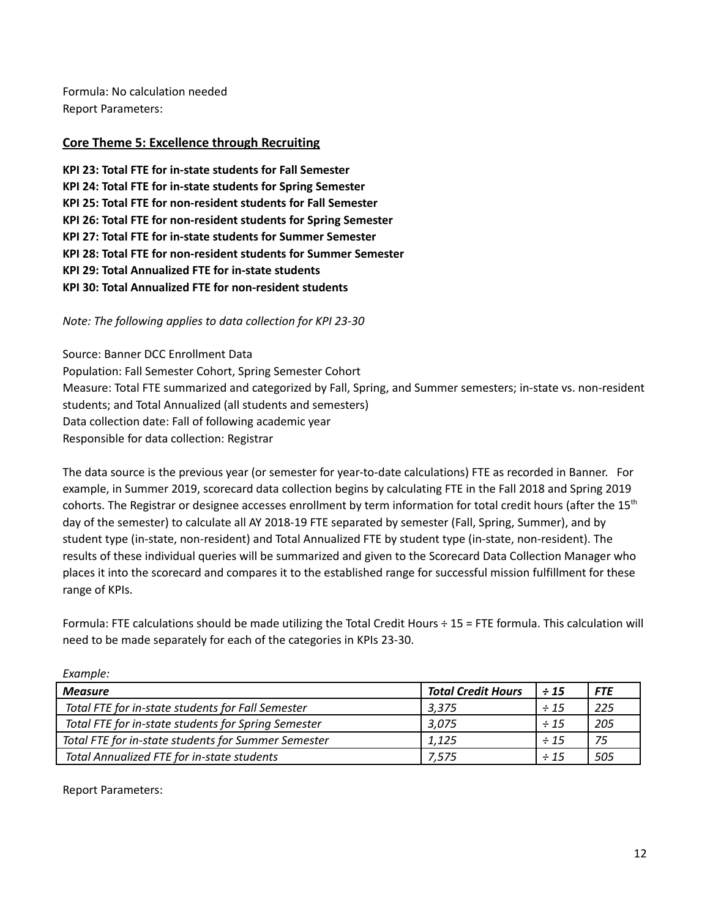Formula: No calculation needed Report Parameters:

# <span id="page-11-0"></span>**Core Theme 5: Excellence through Recruiting**

**KPI 23: Total FTE for in-state students for Fall Semester KPI 24: Total FTE for in-state students for Spring Semester KPI 25: Total FTE for non-resident students for Fall Semester KPI 26: Total FTE for non-resident students for Spring Semester KPI 27: Total FTE for in-state students for Summer Semester KPI 28: Total FTE for non-resident students for Summer Semester KPI 29: Total Annualized FTE for in-state students KPI 30: Total Annualized FTE for non-resident students**

*Note: The following applies to data collection for KPI 23-30*

Source: Banner DCC Enrollment Data Population: Fall Semester Cohort, Spring Semester Cohort Measure: Total FTE summarized and categorized by Fall, Spring, and Summer semesters; in-state vs. non-resident students; and Total Annualized (all students and semesters) Data collection date: Fall of following academic year Responsible for data collection: Registrar

The data source is the previous year (or semester for year-to-date calculations) FTE as recorded in Banner. For example, in Summer 2019, scorecard data collection begins by calculating FTE in the Fall 2018 and Spring 2019 cohorts. The Registrar or designee accesses enrollment by term information for total credit hours (after the  $15<sup>th</sup>$ day of the semester) to calculate all AY 2018-19 FTE separated by semester (Fall, Spring, Summer), and by student type (in-state, non-resident) and Total Annualized FTE by student type (in-state, non-resident). The results of these individual queries will be summarized and given to the Scorecard Data Collection Manager who places it into the scorecard and compares it to the established range for successful mission fulfillment for these range of KPIs.

Formula: FTE calculations should be made utilizing the Total Credit Hours ÷ 15 = FTE formula. This calculation will need to be made separately for each of the categories in KPIs 23-30.

| ----------                                          |                           |           |            |
|-----------------------------------------------------|---------------------------|-----------|------------|
| <b>Measure</b>                                      | <b>Total Credit Hours</b> | $\div$ 15 | <b>FTE</b> |
| Total FTE for in-state students for Fall Semester   | 3.375                     | $\div$ 15 | 225        |
| Total FTE for in-state students for Spring Semester | 3,075                     | $\div$ 15 | 205        |
| Total FTE for in-state students for Summer Semester | 1.125                     | $\div$ 15 | 75         |
| <b>Total Annualized FTE for in-state students</b>   | 7,575                     | $\div$ 15 | 505        |

<span id="page-11-1"></span>Report Parameters:

*Example:*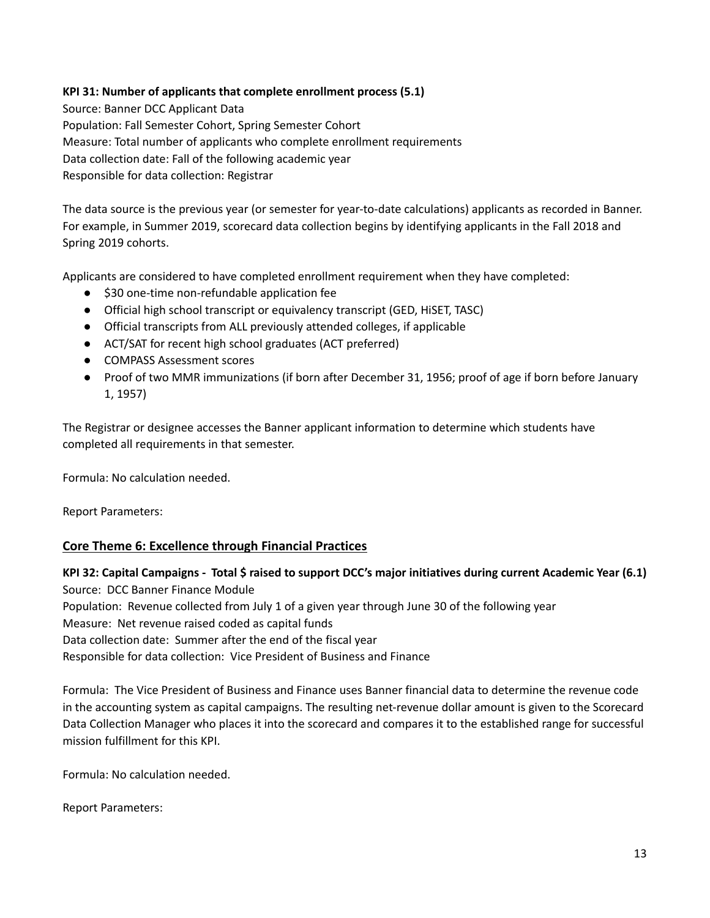### **KPI 31: Number of applicants that complete enrollment process (5.1)**

Source: Banner DCC Applicant Data Population: Fall Semester Cohort, Spring Semester Cohort Measure: Total number of applicants who complete enrollment requirements Data collection date: Fall of the following academic year Responsible for data collection: Registrar

The data source is the previous year (or semester for year-to-date calculations) applicants as recorded in Banner. For example, in Summer 2019, scorecard data collection begins by identifying applicants in the Fall 2018 and Spring 2019 cohorts.

Applicants are considered to have completed enrollment requirement when they have completed:

- \$30 one-time non-refundable application fee
- Official high school transcript or equivalency transcript (GED, HiSET, TASC)
- Official transcripts from ALL previously attended colleges, if applicable
- ACT/SAT for recent high school graduates (ACT preferred)
- COMPASS Assessment scores
- Proof of two MMR immunizations (if born after December 31, 1956; proof of age if born before January 1, 1957)

The Registrar or designee accesses the Banner applicant information to determine which students have completed all requirements in that semester.

Formula: No calculation needed.

Report Parameters:

#### <span id="page-12-0"></span>**Core Theme 6: Excellence through Financial Practices**

# <span id="page-12-1"></span>KPI 32: Capital Campaigns - Total \$ raised to support DCC's major [initiatives](#page-12-1) during current Academic Year (6.1) Source: DCC Banner Finance Module

Population: Revenue collected from July 1 of a given year through June 30 of the following year

Measure: Net revenue raised coded as capital funds

Data collection date: Summer after the end of the fiscal year

Responsible for data collection: Vice President of Business and Finance

Formula: The Vice President of Business and Finance uses Banner financial data to determine the revenue code in the accounting system as capital campaigns. The resulting net-revenue dollar amount is given to the Scorecard Data Collection Manager who places it into the scorecard and compares it to the established range for successful mission fulfillment for this KPI.

Formula: No calculation needed.

Report Parameters: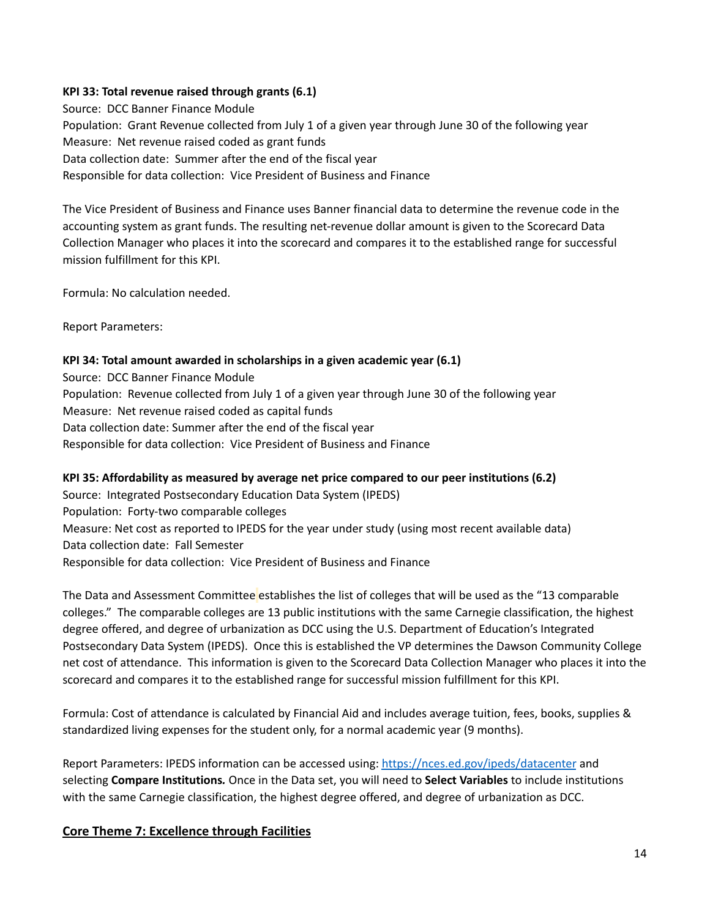### <span id="page-13-0"></span>**KPI 33: Total revenue raised through grants (6.1)**

Source: DCC Banner Finance Module Population: Grant Revenue collected from July 1 of a given year through June 30 of the following year Measure: Net revenue raised coded as grant funds Data collection date: Summer after the end of the fiscal year Responsible for data collection: Vice President of Business and Finance

The Vice President of Business and Finance uses Banner financial data to determine the revenue code in the accounting system as grant funds. The resulting net-revenue dollar amount is given to the Scorecard Data Collection Manager who places it into the scorecard and compares it to the established range for successful mission fulfillment for this KPI.

Formula: No calculation needed.

Report Parameters:

### <span id="page-13-1"></span>**KPI 34: Total amount awarded in scholarships in a given academic year (6.1)**

Source: DCC Banner Finance Module Population: Revenue collected from July 1 of a given year through June 30 of the following year Measure: Net revenue raised coded as capital funds Data collection date: Summer after the end of the fiscal year Responsible for data collection: Vice President of Business and Finance

# <span id="page-13-2"></span>**KPI 35: Affordability as measured by average net price compared to our peer institutions (6.2)**

Source: Integrated Postsecondary Education Data System (IPEDS) Population: Forty-two comparable colleges Measure: Net cost as reported to IPEDS for the year under study (using most recent available data) Data collection date: Fall Semester Responsible for data collection: Vice President of Business and Finance

The Data and Assessment Committee establishes the list of colleges that will be used as the "13 comparable colleges." The comparable colleges are 13 public institutions with the same Carnegie classification, the highest degree offered, and degree of urbanization as DCC using the U.S. Department of Education's Integrated Postsecondary Data System (IPEDS). Once this is established the VP determines the Dawson Community College net cost of attendance. This information is given to the Scorecard Data Collection Manager who places it into the scorecard and compares it to the established range for successful mission fulfillment for this KPI.

Formula: Cost of attendance is calculated by Financial Aid and includes average tuition, fees, books, supplies & standardized living expenses for the student only, for a normal academic year (9 months).

Report Parameters: IPEDS information can be accessed using: <https://nces.ed.gov/ipeds/datacenter> and selecting **Compare Institutions***.* Once in the Data set, you will need to **Select Variables** to include institutions with the same Carnegie classification, the highest degree offered, and degree of urbanization as DCC.

# <span id="page-13-3"></span>**Core Theme 7: Excellence through Facilities**